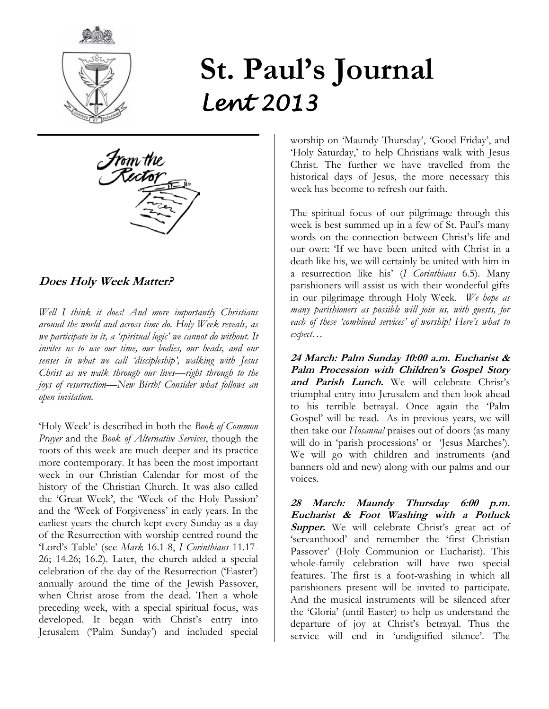



# **St. Paul's Journal** *Lent 2013*

From the<br>*Rector* 

#### **Does Holy Week Matter?**

*Well I think it does! And more importantly Christians around the world and across time do. Holy Week reveals, as we participate in it, a 'spiritual logic' we cannot do without. It invites us to use our time, our bodies, our heads, and our senses in what we call 'discipleship', walking with Jesus Christ as we walk through our lives—right through to the joys of resurrection—New Birth! Consider what follows an open invitation.* 

'Holy Week' is described in both the *Book of Common Prayer* and the *Book of Alternative Services*, though the roots of this week are much deeper and its practice more contemporary. It has been the most important week in our Christian Calendar for most of the history of the Christian Church. It was also called the 'Great Week', the 'Week of the Holy Passion' and the 'Week of Forgiveness' in early years. In the earliest years the church kept every Sunday as a day of the Resurrection with worship centred round the 'Lord's Table' (see *Mark* 16.1-8, *I Corinthians* 11.17- 26; 14.26; 16.2). Later, the church added a special celebration of the day of the Resurrection ('Easter') annually around the time of the Jewish Passover, when Christ arose from the dead. Then a whole preceding week, with a special spiritual focus, was developed. It began with Christ's entry into Jerusalem ('Palm Sunday') and included special worship on 'Maundy Thursday', 'Good Friday', and 'Holy Saturday,' to help Christians walk with Jesus Christ. The further we have travelled from the historical days of Jesus, the more necessary this week has become to refresh our faith.

The spiritual focus of our pilgrimage through this week is best summed up in a few of St. Paul's many words on the connection between Christ's life and our own: 'If we have been united with Christ in a death like his, we will certainly be united with him in a resurrection like his' (*I Corinthians* 6.5). Many parishioners will assist us with their wonderful gifts in our pilgrimage through Holy Week*. We hope as many parishioners as possible will join us, with guests, for each of these 'combined services' of worship! Here's what to expect…*

**24 March: Palm Sunday 10:00 a.m. Eucharist & Palm Procession with Children's Gospel Story**  and Parish Lunch. We will celebrate Christ's triumphal entry into Jerusalem and then look ahead to his terrible betrayal. Once again the 'Palm Gospel' will be read. As in previous years, we will then take our *Hosanna!* praises out of doors (as many will do in 'parish processions' or 'Jesus Marches'). We will go with children and instruments (and banners old and new) along with our palms and our voices.

**28 March: Maundy Thursday 6:00 p.m. Eucharist & Foot Washing with a Potluck**  Supper. We will celebrate Christ's great act of 'servanthood' and remember the 'first Christian Passover' (Holy Communion or Eucharist). This whole-family celebration will have two special features. The first is a foot-washing in which all parishioners present will be invited to participate. And the musical instruments will be silenced after the 'Gloria' (until Easter) to help us understand the departure of joy at Christ's betrayal. Thus the service will end in 'undignified silence'. The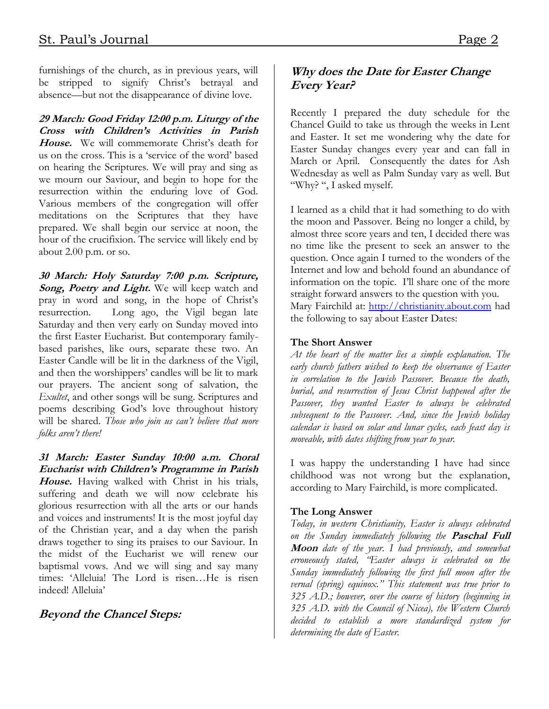furnishings of the church, as in previous years, will be stripped to signify Christ's betrayal and absence—but not the disappearance of divine love.

**29 March: Good Friday 12:00 p.m. Liturgy of the Cross with Children's Activities in Parish House.** We will commemorate Christ's death for us on the cross. This is a 'service of the word' based on hearing the Scriptures. We will pray and sing as we mourn our Saviour, and begin to hope for the resurrection within the enduring love of God. Various members of the congregation will offer meditations on the Scriptures that they have prepared. We shall begin our service at noon, the hour of the crucifixion. The service will likely end by about 2.00 p.m. or so.

**30 March: Holy Saturday 7:00 p.m. Scripture, Song, Poetry and Light.** We will keep watch and pray in word and song, in the hope of Christ's resurrection. Long ago, the Vigil began late Saturday and then very early on Sunday moved into the first Easter Eucharist. But contemporary familybased parishes, like ours, separate these two. An Easter Candle will be lit in the darkness of the Vigil, and then the worshippers' candles will be lit to mark our prayers. The ancient song of salvation, the *Exultet*, and other songs will be sung. Scriptures and poems describing God's love throughout history will be shared. *Those who join us can't believe that more folks aren't there!*

**31 March: Easter Sunday 10:00 a.m. Choral Eucharist with Children's Programme in Parish House.** Having walked with Christ in his trials, suffering and death we will now celebrate his glorious resurrection with all the arts or our hands and voices and instruments! It is the most joyful day of the Christian year, and a day when the parish draws together to sing its praises to our Saviour. In the midst of the Eucharist we will renew our baptismal vows. And we will sing and say many times: 'Alleluia! The Lord is risen…He is risen indeed! Alleluia'

#### **Beyond the Chancel Steps:**

#### **Why does the Date for Easter Change Every Year?**

Recently I prepared the duty schedule for the Chancel Guild to take us through the weeks in Lent and Easter. It set me wondering why the date for Easter Sunday changes every year and can fall in March or April. Consequently the dates for Ash Wednesday as well as Palm Sunday vary as well. But "Why? ", I asked myself.

I learned as a child that it had something to do with the moon and Passover. Being no longer a child, by almost three score years and ten, I decided there was no time like the present to seek an answer to the question. Once again I turned to the wonders of the Internet and low and behold found an abundance of information on the topic. I'll share one of the more straight forward answers to the question with you. Mary Fairchild at: [http://christianity.about.com](http://christianity.about.com/) had the following to say about Easter Dates:

#### **The Short Answer**

*At the heart of the matter lies a simple explanation. The early church fathers wished to keep the observance of Easter in correlation to the Jewish Passover. Because the death, burial, and resurrection of Jesus Christ happened after the Passover, they wanted Easter to always be celebrated subsequent to the Passover. And, since the Jewish holiday calendar is based on solar and lunar cycles, each feast day is moveable, with dates shifting from year to year.* 

I was happy the understanding I have had since childhood was not wrong but the explanation, according to Mary Fairchild, is more complicated.

#### **The Long Answer**

*Today, in western Christianity, Easter is always celebrated on the Sunday immediately following the* **Paschal Full Moon** *date of the year. I had previously, and somewhat erroneously stated, "Easter always is celebrated on the Sunday immediately following the first full moon after the vernal (spring) equinox." This statement was true prior to 325 A.D.; however, over the course of history (beginning in 325 A.D. with the Council of Nicea), the Western Church decided to establish a more standardized system for determining the date of Easter.*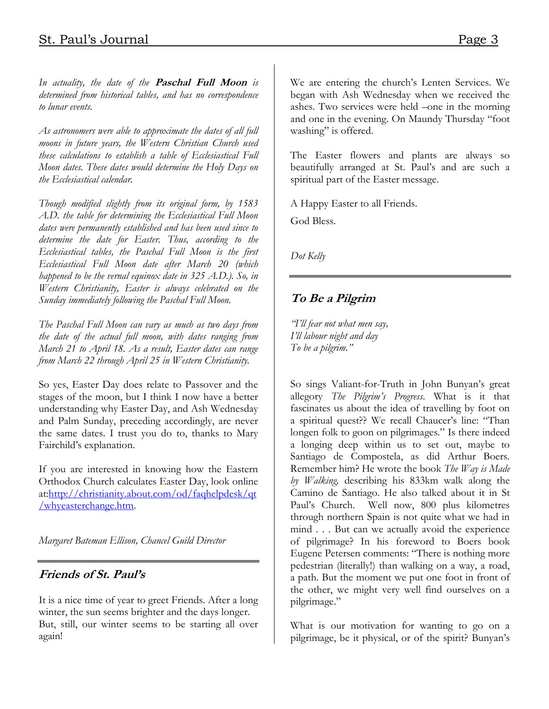*In actuality, the date of the* **Paschal Full Moon** *is determined from historical tables, and has no correspondence to lunar events.* 

*As astronomers were able to approximate the dates of all full moons in future years, the Western Christian Church used these calculations to establish a table of Ecclesiastical Full Moon dates. These dates would determine the Holy Days on the Ecclesiastical calendar.* 

*Though modified slightly from its original form, by 1583 A.D. the table for determining the Ecclesiastical Full Moon dates were permanently established and has been used since to determine the date for Easter. Thus, according to the Ecclesiastical tables, the Paschal Full Moon is the first Ecclesiastical Full Moon date after March 20 (which happened to be the vernal equinox date in 325 A.D.). So, in Western Christianity, Easter is always celebrated on the Sunday immediately following the Paschal Full Moon.* 

*The Paschal Full Moon can vary as much as two days from the date of the actual full moon, with dates ranging from March 21 to April 18. As a result, Easter dates can range from March 22 through April 25 in Western Christianity.* 

So yes, Easter Day does relate to Passover and the stages of the moon, but I think I now have a better understanding why Easter Day, and Ash Wednesday and Palm Sunday, preceding accordingly, are never the same dates. I trust you do to, thanks to Mary Fairchild's explanation.

If you are interested in knowing how the Eastern Orthodox Church calculates Easter Day, look online at[:http://christianity.about.com/od/faqhelpdesk/qt](http://christianity.about.com/od/faqhelpdesk/qt/whyeasterchange.htm) [/whyeasterchange.htm.](http://christianity.about.com/od/faqhelpdesk/qt/whyeasterchange.htm)

*Margaret Bateman Ellison, Chancel Guild Director* 

### **Friends of St. Paul's**

It is a nice time of year to greet Friends. After a long winter, the sun seems brighter and the days longer. But, still, our winter seems to be starting all over again!

We are entering the church's Lenten Services. We began with Ash Wednesday when we received the ashes. Two services were held –one in the morning and one in the evening. On Maundy Thursday "foot washing" is offered.

The Easter flowers and plants are always so beautifully arranged at St. Paul's and are such a spiritual part of the Easter message.

A Happy Easter to all Friends.

God Bless.

*Dot Kelly*

#### **To Be a Pilgrim**

*"I'll fear not what men say, I'll labour night and day To be a pilgrim."*

So sings Valiant-for-Truth in John Bunyan's great allegory *The Pilgrim's Progress*. What is it that fascinates us about the idea of travelling by foot on a spiritual quest?? We recall Chaucer's line: "Than longen folk to goon on pilgrimages." Is there indeed a longing deep within us to set out, maybe to Santiago de Compostela, as did Arthur Boers. Remember him? He wrote the book *The Way is Made by Walking,* describing his 833km walk along the Camino de Santiago. He also talked about it in St Paul's Church. Well now, 800 plus kilometres through northern Spain is not quite what we had in mind . . . But can we actually avoid the experience of pilgrimage? In his foreword to Boers book Eugene Petersen comments: "There is nothing more pedestrian (literally!) than walking on a way, a road, a path. But the moment we put one foot in front of the other, we might very well find ourselves on a pilgrimage."

What is our motivation for wanting to go on a pilgrimage, be it physical, or of the spirit? Bunyan's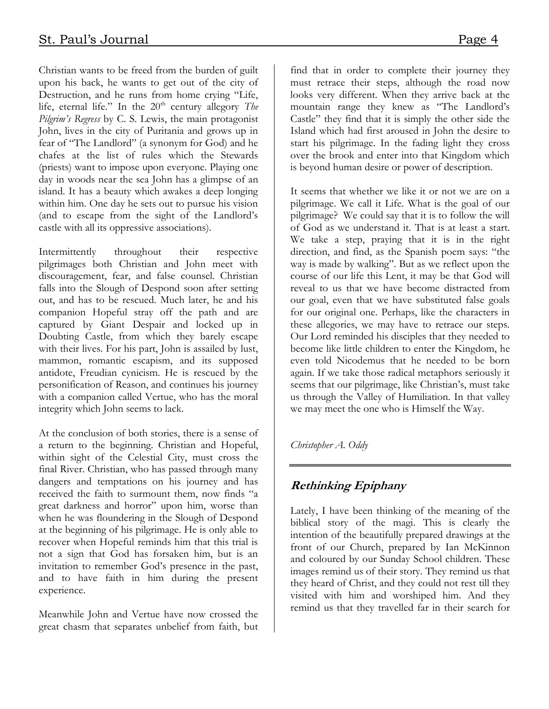Christian wants to be freed from the burden of guilt upon his back, he wants to get out of the city of Destruction, and he runs from home crying "Life, life, eternal life." In the 20<sup>th</sup> century allegory *The Pilgrim's Regress* by C. S. Lewis, the main protagonist John, lives in the city of Puritania and grows up in fear of "The Landlord" (a synonym for God) and he chafes at the list of rules which the Stewards (priests) want to impose upon everyone. Playing one day in woods near the sea John has a glimpse of an island. It has a beauty which awakes a deep longing within him. One day he sets out to pursue his vision (and to escape from the sight of the Landlord's castle with all its oppressive associations).

Intermittently throughout their respective pilgrimages both Christian and John meet with discouragement, fear, and false counsel. Christian falls into the Slough of Despond soon after setting out, and has to be rescued. Much later, he and his companion Hopeful stray off the path and are captured by Giant Despair and locked up in Doubting Castle, from which they barely escape with their lives. For his part, John is assailed by lust, mammon, romantic escapism, and its supposed antidote, Freudian cynicism. He is rescued by the personification of Reason, and continues his journey with a companion called Vertue, who has the moral integrity which John seems to lack.

At the conclusion of both stories, there is a sense of a return to the beginning. Christian and Hopeful, within sight of the Celestial City, must cross the final River. Christian, who has passed through many dangers and temptations on his journey and has received the faith to surmount them, now finds "a great darkness and horror" upon him, worse than when he was floundering in the Slough of Despond at the beginning of his pilgrimage. He is only able to recover when Hopeful reminds him that this trial is not a sign that God has forsaken him, but is an invitation to remember God's presence in the past, and to have faith in him during the present experience.

Meanwhile John and Vertue have now crossed the great chasm that separates unbelief from faith, but find that in order to complete their journey they must retrace their steps, although the road now looks very different. When they arrive back at the mountain range they knew as "The Landlord's Castle" they find that it is simply the other side the Island which had first aroused in John the desire to start his pilgrimage. In the fading light they cross over the brook and enter into that Kingdom which is beyond human desire or power of description.

It seems that whether we like it or not we are on a pilgrimage. We call it Life. What is the goal of our pilgrimage? We could say that it is to follow the will of God as we understand it. That is at least a start. We take a step, praying that it is in the right direction, and find, as the Spanish poem says: "the way is made by walking". But as we reflect upon the course of our life this Lent, it may be that God will reveal to us that we have become distracted from our goal, even that we have substituted false goals for our original one. Perhaps, like the characters in these allegories, we may have to retrace our steps. Our Lord reminded his disciples that they needed to become like little children to enter the Kingdom, he even told Nicodemus that he needed to be born again. If we take those radical metaphors seriously it seems that our pilgrimage, like Christian's, must take us through the Valley of Humiliation. In that valley we may meet the one who is Himself the Way.

*Christopher A. Oddy* 

## **Rethinking Epiphany**

Lately, I have been thinking of the meaning of the biblical story of the magi. This is clearly the intention of the beautifully prepared drawings at the front of our Church, prepared by Ian McKinnon and coloured by our Sunday School children. These images remind us of their story. They remind us that they heard of Christ, and they could not rest till they visited with him and worshiped him. And they remind us that they travelled far in their search for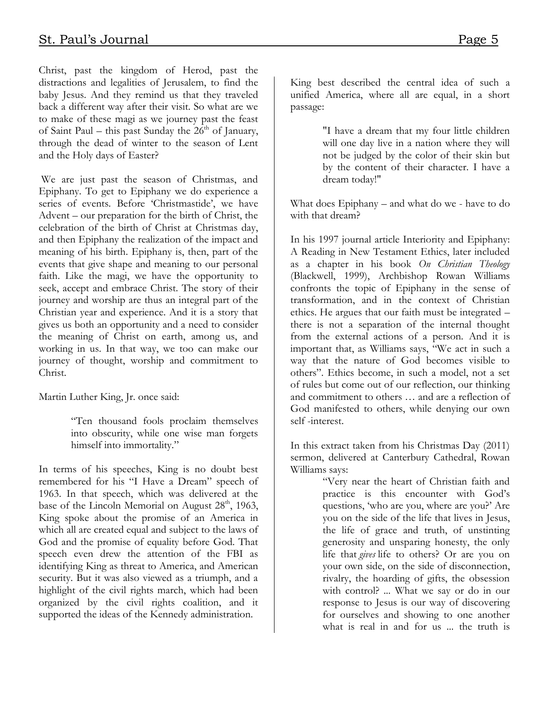Christ, past the kingdom of Herod, past the distractions and legalities of Jerusalem, to find the baby Jesus. And they remind us that they traveled back a different way after their visit. So what are we to make of these magi as we journey past the feast of Saint Paul – this past Sunday the  $26<sup>th</sup>$  of January, through the dead of winter to the season of Lent and the Holy days of Easter?

 We are just past the season of Christmas, and Epiphany. To get to Epiphany we do experience a series of events. Before 'Christmastide', we have Advent – our preparation for the birth of Christ, the celebration of the birth of Christ at Christmas day, and then Epiphany the realization of the impact and meaning of his birth. Epiphany is, then, part of the events that give shape and meaning to our personal faith. Like the magi, we have the opportunity to seek, accept and embrace Christ. The story of their journey and worship are thus an integral part of the Christian year and experience. And it is a story that gives us both an opportunity and a need to consider the meaning of Christ on earth, among us, and working in us. In that way, we too can make our journey of thought, worship and commitment to Christ.

Martin Luther King, Jr. once said:

"Ten thousand fools proclaim themselves into obscurity, while one wise man forgets himself into immortality."

In terms of his speeches, King is no doubt best remembered for his "I Have a Dream" speech of 1963. In that speech, which was delivered at the base of the Lincoln Memorial on August 28<sup>th</sup>, 1963, King spoke about the promise of an America in which all are created equal and subject to the laws of God and the promise of equality before God. That speech even drew the attention of the FBI as identifying King as threat to America, and American security. But it was also viewed as a triumph, and a highlight of the civil rights march, which had been organized by the civil rights coalition, and it supported the ideas of the Kennedy administration.

King best described the central idea of such a unified America, where all are equal, in a short passage:

> "I have a dream that my four little children will one day live in a nation where they will not be judged by the color of their skin but by the content of their character. I have a dream today!"

What does Epiphany – and what do we - have to do with that dream?

In his 1997 journal article Interiority and Epiphany: A Reading in New Testament Ethics, later included as a chapter in his book *On Christian Theology* (Blackwell, 1999), Archbishop Rowan Williams confronts the topic of Epiphany in the sense of transformation, and in the context of Christian ethics. He argues that our faith must be integrated – there is not a separation of the internal thought from the external actions of a person. And it is important that, as Williams says, "We act in such a way that the nature of God becomes visible to others". Ethics become, in such a model, not a set of rules but come out of our reflection, our thinking and commitment to others … and are a reflection of God manifested to others, while denying our own self -interest.

In this extract taken from his Christmas Day (2011) sermon, delivered at Canterbury Cathedral, Rowan Williams says:

"Very near the heart of Christian faith and practice is this encounter with God's questions, 'who are you, where are you?' Are you on the side of the life that lives in Jesus, the life of grace and truth, of unstinting generosity and unsparing honesty, the only life that *gives* life to others? Or are you on your own side, on the side of disconnection, rivalry, the hoarding of gifts, the obsession with control? ... What we say or do in our response to Jesus is our way of discovering for ourselves and showing to one another what is real in and for us ... the truth is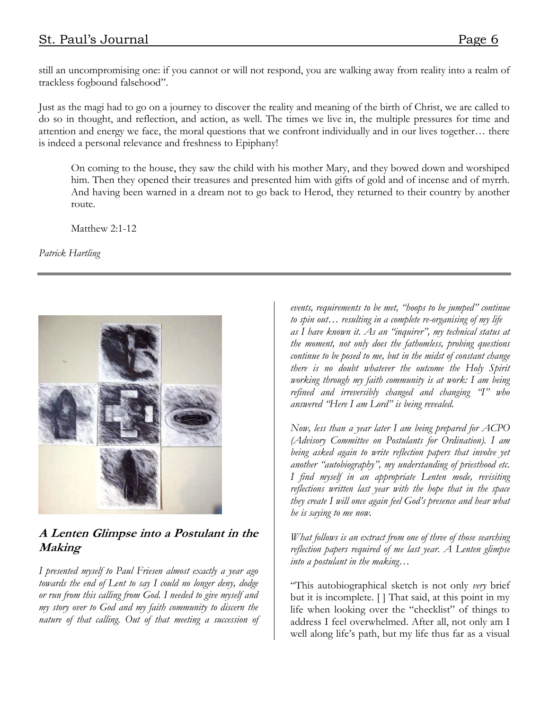still an uncompromising one: if you cannot or will not respond, you are walking away from reality into a realm of trackless fogbound falsehood".

Just as the magi had to go on a journey to discover the reality and meaning of the birth of Christ, we are called to do so in thought, and reflection, and action, as well. The times we live in, the multiple pressures for time and attention and energy we face, the moral questions that we confront individually and in our lives together… there is indeed a personal relevance and freshness to Epiphany!

On coming to the house, they saw the child with his mother Mary, and they bowed down and worshiped him. Then they opened their treasures and presented him with gifts of gold and of incense and of myrrh. And having been warned in a dream not to go back to Herod, they returned to their country by another route.

Matthew 2:1-12

*Patrick Hartling* 



#### **A Lenten Glimpse into a Postulant in the Making**

*I presented myself to Paul Friesen almost exactly a year ago towards the end of Lent to say I could no longer deny, dodge or run from this calling from God. I needed to give myself and my story over to God and my faith community to discern the nature of that calling. Out of that meeting a succession of*  *events, requirements to be met, "hoops to be jumped" continue to spin out… resulting in a complete re-organising of my life as I have known it. As an "inquirer", my technical status at the moment, not only does the fathomless, probing questions continue to be posed to me, but in the midst of constant change there is no doubt whatever the outcome the Holy Spirit working through my faith community is at work: I am being refined and irreversibly changed and changing "I" who answered "Here I am Lord" is being revealed.* 

*Now, less than a year later I am being prepared for ACPO (Advisory Committee on Postulants for Ordination). I am being asked again to write reflection papers that involve yet another "autobiography", my understanding of priesthood etc. I find myself in an appropriate Lenten mode, revisiting reflections written last year with the hope that in the space they create I will once again feel God's presence and hear what he is saying to me now.* 

*What follows is an extract from one of three of those searching reflection papers required of me last year. A Lenten glimpse into a postulant in the making…*

"This autobiographical sketch is not only *very* brief but it is incomplete. [ ] That said, at this point in my life when looking over the "checklist" of things to address I feel overwhelmed. After all, not only am I well along life's path, but my life thus far as a visual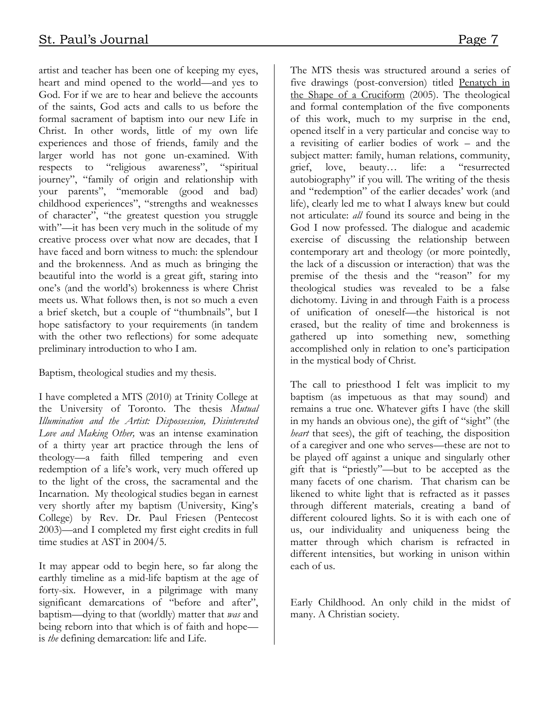artist and teacher has been one of keeping my eyes, heart and mind opened to the world—and yes to God. For if we are to hear and believe the accounts of the saints, God acts and calls to us before the formal sacrament of baptism into our new Life in Christ. In other words, little of my own life experiences and those of friends, family and the larger world has not gone un-examined. With respects to "religious awareness", "spiritual journey", "family of origin and relationship with your parents", "memorable (good and bad) childhood experiences", "strengths and weaknesses of character", "the greatest question you struggle with"—it has been very much in the solitude of my creative process over what now are decades, that I have faced and born witness to much: the splendour and the brokenness. And as much as bringing the beautiful into the world is a great gift, staring into one's (and the world's) brokenness is where Christ meets us. What follows then, is not so much a even a brief sketch, but a couple of "thumbnails", but I hope satisfactory to your requirements (in tandem with the other two reflections) for some adequate preliminary introduction to who I am.

Baptism, theological studies and my thesis.

I have completed a MTS (2010) at Trinity College at the University of Toronto. The thesis *Mutual Illumination and the Artist: Dispossession, Disinterested Love and Making Other,* was an intense examination of a thirty year art practice through the lens of theology—a faith filled tempering and even redemption of a life's work, very much offered up to the light of the cross, the sacramental and the Incarnation. My theological studies began in earnest very shortly after my baptism (University, King's College) by Rev. Dr. Paul Friesen (Pentecost 2003)—and I completed my first eight credits in full time studies at AST in 2004/5.

It may appear odd to begin here, so far along the earthly timeline as a mid-life baptism at the age of forty-six. However, in a pilgrimage with many significant demarcations of "before and after", baptism—dying to that (worldly) matter that *was* and being reborn into that which is of faith and hope is *the* defining demarcation: life and Life.

The MTS thesis was structured around a series of five drawings (post-conversion) titled Penatych in the Shape of a Cruciform (2005). The theological and formal contemplation of the five components of this work, much to my surprise in the end, opened itself in a very particular and concise way to a revisiting of earlier bodies of work – and the subject matter: family, human relations, community, grief, love, beauty… life: a "resurrected autobiography" if you will. The writing of the thesis and "redemption" of the earlier decades' work (and life), clearly led me to what I always knew but could not articulate: *all* found its source and being in the God I now professed. The dialogue and academic exercise of discussing the relationship between contemporary art and theology (or more pointedly, the lack of a discussion or interaction) that was the premise of the thesis and the "reason" for my theological studies was revealed to be a false dichotomy. Living in and through Faith is a process of unification of oneself—the historical is not erased, but the reality of time and brokenness is gathered up into something new, something accomplished only in relation to one's participation in the mystical body of Christ.

The call to priesthood I felt was implicit to my baptism (as impetuous as that may sound) and remains a true one. Whatever gifts I have (the skill in my hands an obvious one), the gift of "sight" (the *heart* that sees), the gift of teaching, the disposition of a caregiver and one who serves—these are not to be played off against a unique and singularly other gift that is "priestly"—but to be accepted as the many facets of one charism. That charism can be likened to white light that is refracted as it passes through different materials, creating a band of different coloured lights. So it is with each one of us, our individuality and uniqueness being the matter through which charism is refracted in different intensities, but working in unison within each of us.

Early Childhood. An only child in the midst of many. A Christian society.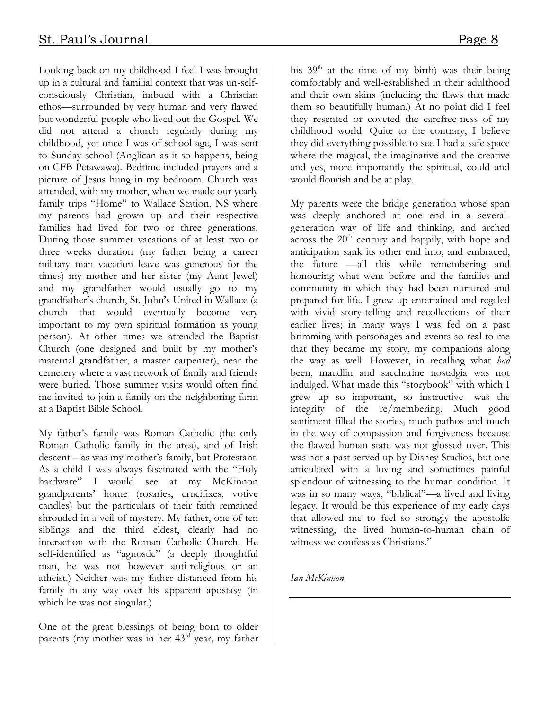Looking back on my childhood I feel I was brought up in a cultural and familial context that was un-selfconsciously Christian, imbued with a Christian ethos—surrounded by very human and very flawed but wonderful people who lived out the Gospel. We did not attend a church regularly during my childhood, yet once I was of school age, I was sent to Sunday school (Anglican as it so happens, being on CFB Petawawa). Bedtime included prayers and a picture of Jesus hung in my bedroom. Church was attended, with my mother, when we made our yearly family trips "Home" to Wallace Station, NS where my parents had grown up and their respective families had lived for two or three generations. During those summer vacations of at least two or three weeks duration (my father being a career military man vacation leave was generous for the times) my mother and her sister (my Aunt Jewel) and my grandfather would usually go to my grandfather's church, St. John's United in Wallace (a church that would eventually become very important to my own spiritual formation as young person). At other times we attended the Baptist Church (one designed and built by my mother's maternal grandfather, a master carpenter), near the cemetery where a vast network of family and friends were buried. Those summer visits would often find me invited to join a family on the neighboring farm at a Baptist Bible School.

My father's family was Roman Catholic (the only Roman Catholic family in the area), and of Irish descent – as was my mother's family, but Protestant. As a child I was always fascinated with the "Holy hardware" I would see at my McKinnon grandparents' home (rosaries, crucifixes, votive candles) but the particulars of their faith remained shrouded in a veil of mystery. My father, one of ten siblings and the third eldest, clearly had no interaction with the Roman Catholic Church. He self-identified as "agnostic" (a deeply thoughtful man, he was not however anti-religious or an atheist.) Neither was my father distanced from his family in any way over his apparent apostasy (in which he was not singular.)

One of the great blessings of being born to older parents (my mother was in her 43<sup>rd</sup> year, my father his  $39<sup>th</sup>$  at the time of my birth) was their being comfortably and well-established in their adulthood and their own skins (including the flaws that made them so beautifully human.) At no point did I feel they resented or coveted the carefree-ness of my childhood world. Quite to the contrary, I believe they did everything possible to see I had a safe space where the magical, the imaginative and the creative and yes, more importantly the spiritual, could and would flourish and be at play.

My parents were the bridge generation whose span was deeply anchored at one end in a severalgeneration way of life and thinking, and arched across the  $20<sup>th</sup>$  century and happily, with hope and anticipation sank its other end into, and embraced, the future —all this while remembering and honouring what went before and the families and community in which they had been nurtured and prepared for life. I grew up entertained and regaled with vivid story-telling and recollections of their earlier lives; in many ways I was fed on a past brimming with personages and events so real to me that they became my story, my companions along the way as well. However, in recalling what *had*  been, maudlin and saccharine nostalgia was not indulged. What made this "storybook" with which I grew up so important, so instructive—was the integrity of the re/membering. Much good sentiment filled the stories, much pathos and much in the way of compassion and forgiveness because the flawed human state was not glossed over. This was not a past served up by Disney Studios, but one articulated with a loving and sometimes painful splendour of witnessing to the human condition. It was in so many ways, "biblical"—a lived and living legacy. It would be this experience of my early days that allowed me to feel so strongly the apostolic witnessing, the lived human-to-human chain of witness we confess as Christians."

*Ian McKinnon*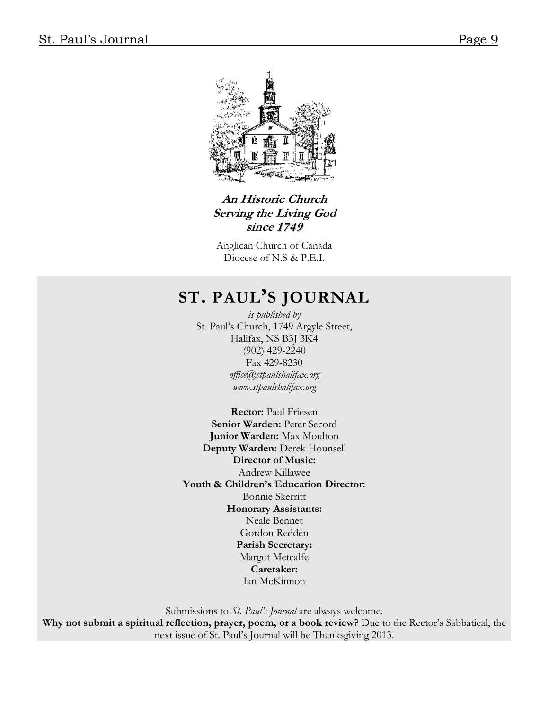

**An Historic Church Serving the Living God since 1749**

Anglican Church of Canada Diocese of N.S & P.E.I.

# **ST. PAUL'S JOURNAL**

*is published by* St. Paul's Church, 1749 Argyle Street, Halifax, NS B3J 3K4 (902) 429-2240 Fax 429-8230 *[office@stpaulshalifax.org](mailto:office@stpaulshalifax.org) www.stpaulshalifax.org*

**Rector:** Paul Friesen **Senior Warden:** Peter Secord **Junior Warden:** Max Moulton **Deputy Warden:** Derek Hounsell **Director of Music:** Andrew Killawee **Youth & Children's Education Director:** Bonnie Skerritt **Honorary Assistants:** Neale Bennet Gordon Redden **Parish Secretary:** Margot Metcalfe **Caretaker:** Ian McKinnon

Submissions to *St. Paul's Journal* are always welcome. **Why not submit a spiritual reflection, prayer, poem, or a book review?** Due to the Rector's Sabbatical, the next issue of St. Paul's Journal will be Thanksgiving 2013.